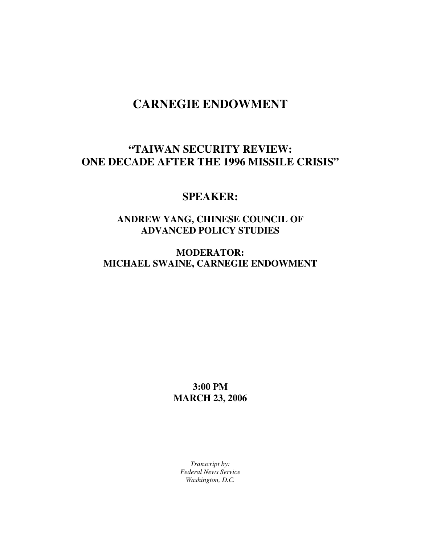# **CARNEGIE ENDOWMENT**

## **"TAIWAN SECURITY REVIEW: ONE DECADE AFTER THE 1996 MISSILE CRISIS"**

#### **SPEAKER:**

### **ANDREW YANG, CHINESE COUNCIL OF ADVANCED POLICY STUDIES**

#### **MODERATOR: MICHAEL SWAINE, CARNEGIE ENDOWMENT**

**3:00 PM MARCH 23, 2006** 

*Transcript by: Federal News Service Washington, D.C.*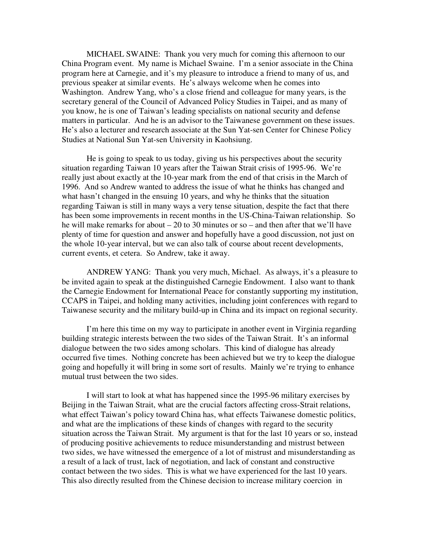MICHAEL SWAINE: Thank you very much for coming this afternoon to our China Program event. My name is Michael Swaine. I'm a senior associate in the China program here at Carnegie, and it's my pleasure to introduce a friend to many of us, and previous speaker at similar events. He's always welcome when he comes into Washington. Andrew Yang, who's a close friend and colleague for many years, is the secretary general of the Council of Advanced Policy Studies in Taipei, and as many of you know, he is one of Taiwan's leading specialists on national security and defense matters in particular. And he is an advisor to the Taiwanese government on these issues. He's also a lecturer and research associate at the Sun Yat-sen Center for Chinese Policy Studies at National Sun Yat-sen University in Kaohsiung.

He is going to speak to us today, giving us his perspectives about the security situation regarding Taiwan 10 years after the Taiwan Strait crisis of 1995-96. We're really just about exactly at the 10-year mark from the end of that crisis in the March of 1996. And so Andrew wanted to address the issue of what he thinks has changed and what hasn't changed in the ensuing 10 years, and why he thinks that the situation regarding Taiwan is still in many ways a very tense situation, despite the fact that there has been some improvements in recent months in the US-China-Taiwan relationship. So he will make remarks for about – 20 to 30 minutes or so – and then after that we'll have plenty of time for question and answer and hopefully have a good discussion, not just on the whole 10-year interval, but we can also talk of course about recent developments, current events, et cetera. So Andrew, take it away.

ANDREW YANG: Thank you very much, Michael. As always, it's a pleasure to be invited again to speak at the distinguished Carnegie Endowment. I also want to thank the Carnegie Endowment for International Peace for constantly supporting my institution, CCAPS in Taipei, and holding many activities, including joint conferences with regard to Taiwanese security and the military build-up in China and its impact on regional security.

I'm here this time on my way to participate in another event in Virginia regarding building strategic interests between the two sides of the Taiwan Strait. It's an informal dialogue between the two sides among scholars. This kind of dialogue has already occurred five times. Nothing concrete has been achieved but we try to keep the dialogue going and hopefully it will bring in some sort of results. Mainly we're trying to enhance mutual trust between the two sides.

I will start to look at what has happened since the 1995-96 military exercises by Beijing in the Taiwan Strait, what are the crucial factors affecting cross-Strait relations, what effect Taiwan's policy toward China has, what effects Taiwanese domestic politics, and what are the implications of these kinds of changes with regard to the security situation across the Taiwan Strait. My argument is that for the last 10 years or so, instead of producing positive achievements to reduce misunderstanding and mistrust between two sides, we have witnessed the emergence of a lot of mistrust and misunderstanding as a result of a lack of trust, lack of negotiation, and lack of constant and constructive contact between the two sides. This is what we have experienced for the last 10 years. This also directly resulted from the Chinese decision to increase military coercion in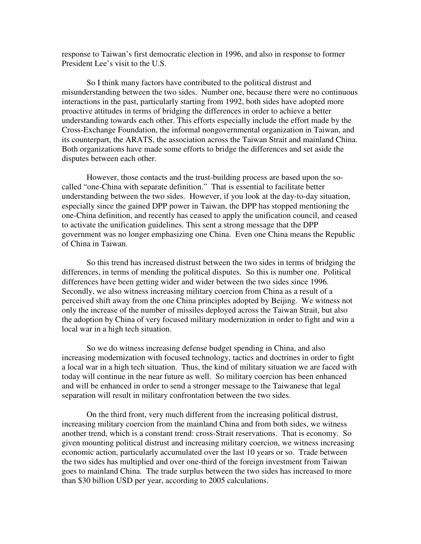response to Taiwan's first democratic election in 1996, and also in response to former President Lee's visit to the U.S.

So I think many factors have contributed to the political distrust and misunderstanding between the two sides. Number one, because there were no continuous interactions in the past, particularly starting from 1992, both sides have adopted more proactive attitudes in terms of bridging the differences in order to achieve a better understanding towards each other. This efforts especially include the effort made by the Cross-Exchange Foundation, the informal nongovernmental organization in Taiwan, and its counterpart, the ARATS, the association across the Taiwan Strait and mainland China. Both organizations have made some efforts to bridge the differences and set aside the disputes between each other.

However, those contacts and the trust-building process are based upon the socalled "one-China with separate definition." That is essential to facilitate better understanding between the two sides. However, if you look at the day-to-day situation, especially since the gained DPP power in Taiwan, the DPP has stopped mentioning the one-China definition, and recently has ceased to apply the unification council, and ceased to activate the unification guidelines. This sent a strong message that the DPP government was no longer emphasizing one China. Even one China means the Republic of China in Taiwan.

 So this trend has increased distrust between the two sides in terms of bridging the differences, in terms of mending the political disputes. So this is number one. Political differences have been getting wider and wider between the two sides since 1996. Secondly, we also witness increasing military coercion from China as a result of a perceived shift away from the one China principles adopted by Beijing. We witness not only the increase of the number of missiles deployed across the Taiwan Strait, but also the adoption by China of very focused military modernization in order to fight and win a local war in a high tech situation.

So we do witness increasing defense budget spending in China, and also increasing modernization with focused technology, tactics and doctrines in order to fight a local war in a high tech situation. Thus, the kind of military situation we are faced with today will continue in the near future as well. So military coercion has been enhanced and will be enhanced in order to send a stronger message to the Taiwanese that legal separation will result in military confrontation between the two sides.

On the third front, very much different from the increasing political distrust, increasing military coercion from the mainland China and from both sides, we witness another trend, which is a constant trend: cross-Strait reservations. That is economy. So given mounting political distrust and increasing military coercion, we witness increasing economic action, particularly accumulated over the last 10 years or so. Trade between the two sides has multiplied and over one-third of the foreign investment from Taiwan goes to mainland China. The trade surplus between the two sides has increased to more than \$30 billion USD per year, according to 2005 calculations.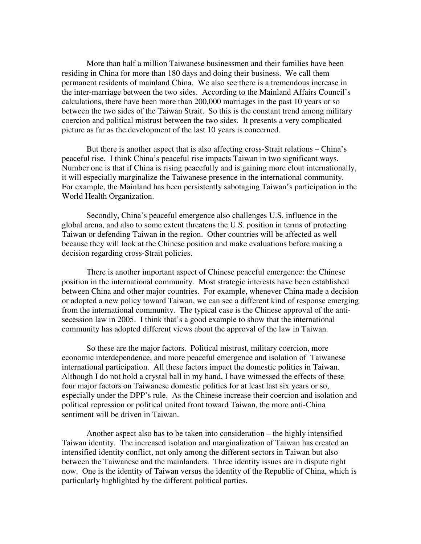More than half a million Taiwanese businessmen and their families have been residing in China for more than 180 days and doing their business. We call them permanent residents of mainland China. We also see there is a tremendous increase in the inter-marriage between the two sides. According to the Mainland Affairs Council's calculations, there have been more than 200,000 marriages in the past 10 years or so between the two sides of the Taiwan Strait. So this is the constant trend among military coercion and political mistrust between the two sides. It presents a very complicated picture as far as the development of the last 10 years is concerned.

But there is another aspect that is also affecting cross-Strait relations – China's peaceful rise. I think China's peaceful rise impacts Taiwan in two significant ways. Number one is that if China is rising peacefully and is gaining more clout internationally, it will especially marginalize the Taiwanese presence in the international community. For example, the Mainland has been persistently sabotaging Taiwan's participation in the World Health Organization.

Secondly, China's peaceful emergence also challenges U.S. influence in the global arena, and also to some extent threatens the U.S. position in terms of protecting Taiwan or defending Taiwan in the region. Other countries will be affected as well because they will look at the Chinese position and make evaluations before making a decision regarding cross-Strait policies.

There is another important aspect of Chinese peaceful emergence: the Chinese position in the international community. Most strategic interests have been established between China and other major countries. For example, whenever China made a decision or adopted a new policy toward Taiwan, we can see a different kind of response emerging from the international community. The typical case is the Chinese approval of the antisecession law in 2005. I think that's a good example to show that the international community has adopted different views about the approval of the law in Taiwan.

So these are the major factors. Political mistrust, military coercion, more economic interdependence, and more peaceful emergence and isolation of Taiwanese international participation. All these factors impact the domestic politics in Taiwan. Although I do not hold a crystal ball in my hand, I have witnessed the effects of these four major factors on Taiwanese domestic politics for at least last six years or so, especially under the DPP's rule. As the Chinese increase their coercion and isolation and political repression or political united front toward Taiwan, the more anti-China sentiment will be driven in Taiwan.

Another aspect also has to be taken into consideration – the highly intensified Taiwan identity. The increased isolation and marginalization of Taiwan has created an intensified identity conflict, not only among the different sectors in Taiwan but also between the Taiwanese and the mainlanders. Three identity issues are in dispute right now. One is the identity of Taiwan versus the identity of the Republic of China, which is particularly highlighted by the different political parties.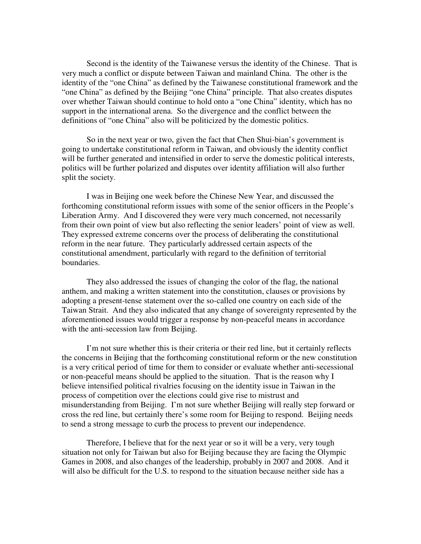Second is the identity of the Taiwanese versus the identity of the Chinese. That is very much a conflict or dispute between Taiwan and mainland China. The other is the identity of the "one China" as defined by the Taiwanese constitutional framework and the "one China" as defined by the Beijing "one China" principle. That also creates disputes over whether Taiwan should continue to hold onto a "one China" identity, which has no support in the international arena. So the divergence and the conflict between the definitions of "one China" also will be politicized by the domestic politics.

So in the next year or two, given the fact that Chen Shui-bian's government is going to undertake constitutional reform in Taiwan, and obviously the identity conflict will be further generated and intensified in order to serve the domestic political interests, politics will be further polarized and disputes over identity affiliation will also further split the society.

I was in Beijing one week before the Chinese New Year, and discussed the forthcoming constitutional reform issues with some of the senior officers in the People's Liberation Army. And I discovered they were very much concerned, not necessarily from their own point of view but also reflecting the senior leaders' point of view as well. They expressed extreme concerns over the process of deliberating the constitutional reform in the near future. They particularly addressed certain aspects of the constitutional amendment, particularly with regard to the definition of territorial boundaries.

They also addressed the issues of changing the color of the flag, the national anthem, and making a written statement into the constitution, clauses or provisions by adopting a present-tense statement over the so-called one country on each side of the Taiwan Strait. And they also indicated that any change of sovereignty represented by the aforementioned issues would trigger a response by non-peaceful means in accordance with the anti-secession law from Beijing.

I'm not sure whether this is their criteria or their red line, but it certainly reflects the concerns in Beijing that the forthcoming constitutional reform or the new constitution is a very critical period of time for them to consider or evaluate whether anti-secessional or non-peaceful means should be applied to the situation. That is the reason why I believe intensified political rivalries focusing on the identity issue in Taiwan in the process of competition over the elections could give rise to mistrust and misunderstanding from Beijing. I'm not sure whether Beijing will really step forward or cross the red line, but certainly there's some room for Beijing to respond. Beijing needs to send a strong message to curb the process to prevent our independence.

Therefore, I believe that for the next year or so it will be a very, very tough situation not only for Taiwan but also for Beijing because they are facing the Olympic Games in 2008, and also changes of the leadership, probably in 2007 and 2008. And it will also be difficult for the U.S. to respond to the situation because neither side has a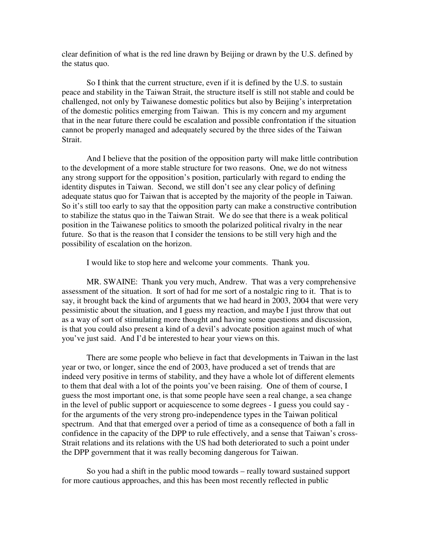clear definition of what is the red line drawn by Beijing or drawn by the U.S. defined by the status quo.

So I think that the current structure, even if it is defined by the U.S. to sustain peace and stability in the Taiwan Strait, the structure itself is still not stable and could be challenged, not only by Taiwanese domestic politics but also by Beijing's interpretation of the domestic politics emerging from Taiwan. This is my concern and my argument that in the near future there could be escalation and possible confrontation if the situation cannot be properly managed and adequately secured by the three sides of the Taiwan Strait.

And I believe that the position of the opposition party will make little contribution to the development of a more stable structure for two reasons. One, we do not witness any strong support for the opposition's position, particularly with regard to ending the identity disputes in Taiwan. Second, we still don't see any clear policy of defining adequate status quo for Taiwan that is accepted by the majority of the people in Taiwan. So it's still too early to say that the opposition party can make a constructive contribution to stabilize the status quo in the Taiwan Strait. We do see that there is a weak political position in the Taiwanese politics to smooth the polarized political rivalry in the near future. So that is the reason that I consider the tensions to be still very high and the possibility of escalation on the horizon.

I would like to stop here and welcome your comments. Thank you.

MR. SWAINE: Thank you very much, Andrew. That was a very comprehensive assessment of the situation. It sort of had for me sort of a nostalgic ring to it. That is to say, it brought back the kind of arguments that we had heard in 2003, 2004 that were very pessimistic about the situation, and I guess my reaction, and maybe I just throw that out as a way of sort of stimulating more thought and having some questions and discussion, is that you could also present a kind of a devil's advocate position against much of what you've just said. And I'd be interested to hear your views on this.

There are some people who believe in fact that developments in Taiwan in the last year or two, or longer, since the end of 2003, have produced a set of trends that are indeed very positive in terms of stability, and they have a whole lot of different elements to them that deal with a lot of the points you've been raising. One of them of course, I guess the most important one, is that some people have seen a real change, a sea change in the level of public support or acquiescence to some degrees - I guess you could say for the arguments of the very strong pro-independence types in the Taiwan political spectrum. And that that emerged over a period of time as a consequence of both a fall in confidence in the capacity of the DPP to rule effectively, and a sense that Taiwan's cross-Strait relations and its relations with the US had both deteriorated to such a point under the DPP government that it was really becoming dangerous for Taiwan.

So you had a shift in the public mood towards – really toward sustained support for more cautious approaches, and this has been most recently reflected in public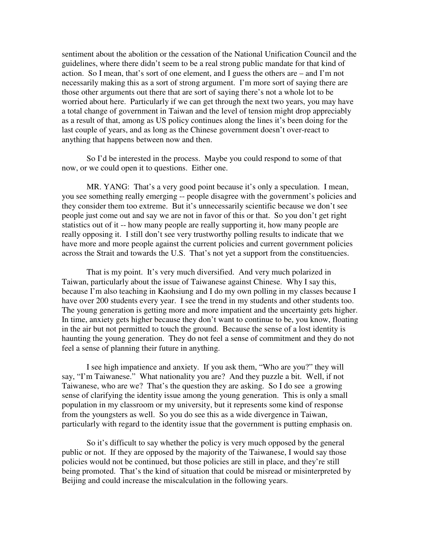sentiment about the abolition or the cessation of the National Unification Council and the guidelines, where there didn't seem to be a real strong public mandate for that kind of action. So I mean, that's sort of one element, and I guess the others are – and I'm not necessarily making this as a sort of strong argument. I'm more sort of saying there are those other arguments out there that are sort of saying there's not a whole lot to be worried about here. Particularly if we can get through the next two years, you may have a total change of government in Taiwan and the level of tension might drop appreciably as a result of that, among as US policy continues along the lines it's been doing for the last couple of years, and as long as the Chinese government doesn't over-react to anything that happens between now and then.

So I'd be interested in the process. Maybe you could respond to some of that now, or we could open it to questions. Either one.

MR. YANG: That's a very good point because it's only a speculation. I mean, you see something really emerging -- people disagree with the government's policies and they consider them too extreme. But it's unnecessarily scientific because we don't see people just come out and say we are not in favor of this or that. So you don't get right statistics out of it -- how many people are really supporting it, how many people are really opposing it. I still don't see very trustworthy polling results to indicate that we have more and more people against the current policies and current government policies across the Strait and towards the U.S. That's not yet a support from the constituencies.

That is my point. It's very much diversified. And very much polarized in Taiwan, particularly about the issue of Taiwanese against Chinese. Why I say this, because I'm also teaching in Kaohsiung and I do my own polling in my classes because I have over 200 students every year. I see the trend in my students and other students too. The young generation is getting more and more impatient and the uncertainty gets higher. In time, anxiety gets higher because they don't want to continue to be, you know, floating in the air but not permitted to touch the ground. Because the sense of a lost identity is haunting the young generation. They do not feel a sense of commitment and they do not feel a sense of planning their future in anything.

I see high impatience and anxiety. If you ask them, "Who are you?" they will say, "I'm Taiwanese." What nationality you are? And they puzzle a bit. Well, if not Taiwanese, who are we? That's the question they are asking. So I do see a growing sense of clarifying the identity issue among the young generation. This is only a small population in my classroom or my university, but it represents some kind of response from the youngsters as well. So you do see this as a wide divergence in Taiwan, particularly with regard to the identity issue that the government is putting emphasis on.

So it's difficult to say whether the policy is very much opposed by the general public or not. If they are opposed by the majority of the Taiwanese, I would say those policies would not be continued, but those policies are still in place, and they're still being promoted. That's the kind of situation that could be misread or misinterpreted by Beijing and could increase the miscalculation in the following years.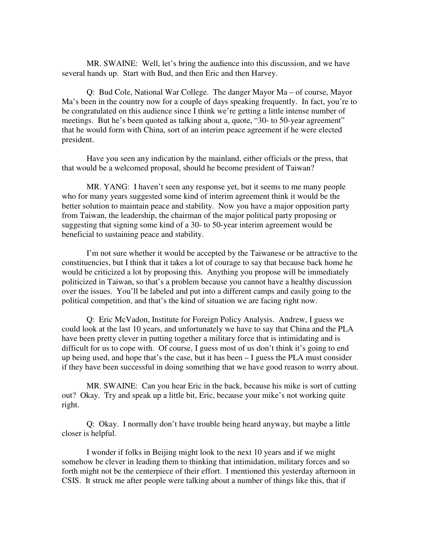MR. SWAINE: Well, let's bring the audience into this discussion, and we have several hands up. Start with Bud, and then Eric and then Harvey.

Q: Bud Cole, National War College. The danger Mayor Ma – of course, Mayor Ma's been in the country now for a couple of days speaking frequently. In fact, you're to be congratulated on this audience since I think we're getting a little intense number of meetings. But he's been quoted as talking about a, quote, "30- to 50-year agreement" that he would form with China, sort of an interim peace agreement if he were elected president.

Have you seen any indication by the mainland, either officials or the press, that that would be a welcomed proposal, should he become president of Taiwan?

MR. YANG: I haven't seen any response yet, but it seems to me many people who for many years suggested some kind of interim agreement think it would be the better solution to maintain peace and stability. Now you have a major opposition party from Taiwan, the leadership, the chairman of the major political party proposing or suggesting that signing some kind of a 30- to 50-year interim agreement would be beneficial to sustaining peace and stability.

I'm not sure whether it would be accepted by the Taiwanese or be attractive to the constituencies, but I think that it takes a lot of courage to say that because back home he would be criticized a lot by proposing this. Anything you propose will be immediately politicized in Taiwan, so that's a problem because you cannot have a healthy discussion over the issues. You'll be labeled and put into a different camps and easily going to the political competition, and that's the kind of situation we are facing right now.

Q: Eric McVadon, Institute for Foreign Policy Analysis. Andrew, I guess we could look at the last 10 years, and unfortunately we have to say that China and the PLA have been pretty clever in putting together a military force that is intimidating and is difficult for us to cope with. Of course, I guess most of us don't think it's going to end up being used, and hope that's the case, but it has been – I guess the PLA must consider if they have been successful in doing something that we have good reason to worry about.

MR. SWAINE: Can you hear Eric in the back, because his mike is sort of cutting out? Okay. Try and speak up a little bit, Eric, because your mike's not working quite right.

Q: Okay. I normally don't have trouble being heard anyway, but maybe a little closer is helpful.

I wonder if folks in Beijing might look to the next 10 years and if we might somehow be clever in leading them to thinking that intimidation, military forces and so forth might not be the centerpiece of their effort. I mentioned this yesterday afternoon in CSIS. It struck me after people were talking about a number of things like this, that if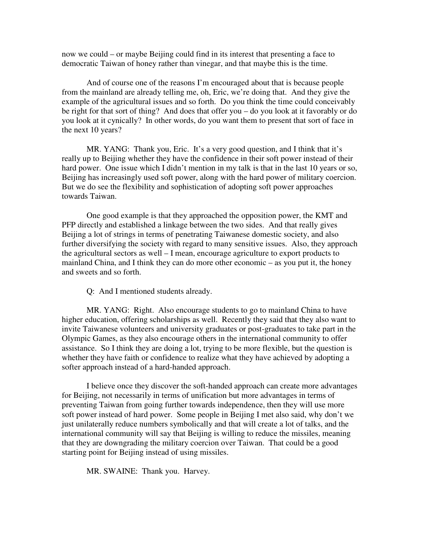now we could – or maybe Beijing could find in its interest that presenting a face to democratic Taiwan of honey rather than vinegar, and that maybe this is the time.

And of course one of the reasons I'm encouraged about that is because people from the mainland are already telling me, oh, Eric, we're doing that. And they give the example of the agricultural issues and so forth. Do you think the time could conceivably be right for that sort of thing? And does that offer you – do you look at it favorably or do you look at it cynically? In other words, do you want them to present that sort of face in the next 10 years?

MR. YANG: Thank you, Eric. It's a very good question, and I think that it's really up to Beijing whether they have the confidence in their soft power instead of their hard power. One issue which I didn't mention in my talk is that in the last 10 years or so, Beijing has increasingly used soft power, along with the hard power of military coercion. But we do see the flexibility and sophistication of adopting soft power approaches towards Taiwan.

One good example is that they approached the opposition power, the KMT and PFP directly and established a linkage between the two sides. And that really gives Beijing a lot of strings in terms of penetrating Taiwanese domestic society, and also further diversifying the society with regard to many sensitive issues. Also, they approach the agricultural sectors as well – I mean, encourage agriculture to export products to mainland China, and I think they can do more other economic – as you put it, the honey and sweets and so forth.

Q: And I mentioned students already.

MR. YANG: Right. Also encourage students to go to mainland China to have higher education, offering scholarships as well. Recently they said that they also want to invite Taiwanese volunteers and university graduates or post-graduates to take part in the Olympic Games, as they also encourage others in the international community to offer assistance. So I think they are doing a lot, trying to be more flexible, but the question is whether they have faith or confidence to realize what they have achieved by adopting a softer approach instead of a hard-handed approach.

I believe once they discover the soft-handed approach can create more advantages for Beijing, not necessarily in terms of unification but more advantages in terms of preventing Taiwan from going further towards independence, then they will use more soft power instead of hard power. Some people in Beijing I met also said, why don't we just unilaterally reduce numbers symbolically and that will create a lot of talks, and the international community will say that Beijing is willing to reduce the missiles, meaning that they are downgrading the military coercion over Taiwan. That could be a good starting point for Beijing instead of using missiles.

MR. SWAINE: Thank you. Harvey.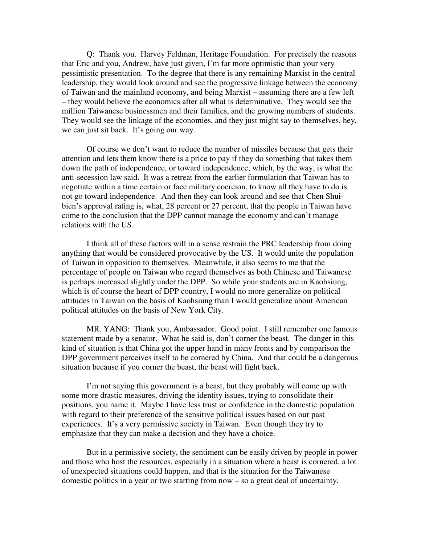Q: Thank you. Harvey Feldman, Heritage Foundation. For precisely the reasons that Eric and you, Andrew, have just given, I'm far more optimistic than your very pessimistic presentation. To the degree that there is any remaining Marxist in the central leadership, they would look around and see the progressive linkage between the economy of Taiwan and the mainland economy, and being Marxist – assuming there are a few left – they would believe the economics after all what is determinative. They would see the million Taiwanese businessmen and their families, and the growing numbers of students. They would see the linkage of the economies, and they just might say to themselves, hey, we can just sit back. It's going our way.

Of course we don't want to reduce the number of missiles because that gets their attention and lets them know there is a price to pay if they do something that takes them down the path of independence, or toward independence, which, by the way, is what the anti-secession law said. It was a retreat from the earlier formulation that Taiwan has to negotiate within a time certain or face military coercion, to know all they have to do is not go toward independence. And then they can look around and see that Chen Shuibien's approval rating is, what, 28 percent or 27 percent, that the people in Taiwan have come to the conclusion that the DPP cannot manage the economy and can't manage relations with the US.

I think all of these factors will in a sense restrain the PRC leadership from doing anything that would be considered provocative by the US. It would unite the population of Taiwan in opposition to themselves. Meanwhile, it also seems to me that the percentage of people on Taiwan who regard themselves as both Chinese and Taiwanese is perhaps increased slightly under the DPP. So while your students are in Kaohsiung, which is of course the heart of DPP country, I would no more generalize on political attitudes in Taiwan on the basis of Kaohsiung than I would generalize about American political attitudes on the basis of New York City.

MR. YANG: Thank you, Ambassador. Good point. I still remember one famous statement made by a senator. What he said is, don't corner the beast. The danger in this kind of situation is that China got the upper hand in many fronts and by comparison the DPP government perceives itself to be cornered by China. And that could be a dangerous situation because if you corner the beast, the beast will fight back.

I'm not saying this government is a beast, but they probably will come up with some more drastic measures, driving the identity issues, trying to consolidate their positions, you name it. Maybe I have less trust or confidence in the domestic population with regard to their preference of the sensitive political issues based on our past experiences. It's a very permissive society in Taiwan. Even though they try to emphasize that they can make a decision and they have a choice.

But in a permissive society, the sentiment can be easily driven by people in power and those who host the resources, especially in a situation where a beast is cornered, a lot of unexpected situations could happen, and that is the situation for the Taiwanese domestic politics in a year or two starting from now – so a great deal of uncertainty.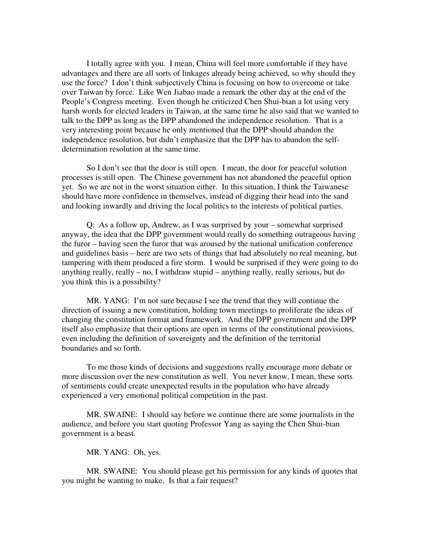I totally agree with you. I mean, China will feel more comfortable if they have advantages and there are all sorts of linkages already being achieved, so why should they use the force? I don't think subjectively China is focusing on how to overcome or take over Taiwan by force. Like Wen Jiabao made a remark the other day at the end of the People's Congress meeting. Even though he criticized Chen Shui-bian a lot using very harsh words for elected leaders in Taiwan, at the same time he also said that we wanted to talk to the DPP as long as the DPP abandoned the independence resolution. That is a very interesting point because he only mentioned that the DPP should abandon the independence resolution, but didn't emphasize that the DPP has to abandon the selfdetermination resolution at the same time.

So I don't see that the door is still open. I mean, the door for peaceful solution processes is still open. The Chinese government has not abandoned the peaceful option yet. So we are not in the worst situation either. In this situation, I think the Taiwanese should have more confidence in themselves, instead of digging their head into the sand and looking inwardly and driving the local politics to the interests of political parties.

Q: As a follow up, Andrew, as I was surprised by your – somewhat surprised anyway, the idea that the DPP government would really do something outrageous having the furor – having seen the furor that was aroused by the national unification conference and guidelines basis – here are two sets of things that had absolutely no real meaning, but tampering with them produced a fire storm. I would be surprised if they were going to do anything really, really – no, I withdraw stupid – anything really, really serious, but do you think this is a possibility?

MR. YANG: I'm not sure because I see the trend that they will continue the direction of issuing a new constitution, holding town meetings to proliferate the ideas of changing the constitution format and framework. And the DPP government and the DPP itself also emphasize that their options are open in terms of the constitutional provisions, even including the definition of sovereignty and the definition of the territorial boundaries and so forth.

To me those kinds of decisions and suggestions really encourage more debate or more discussion over the new constitution as well. You never know, I mean, these sorts of sentiments could create unexpected results in the population who have already experienced a very emotional political competition in the past.

MR. SWAINE: I should say before we continue there are some journalists in the audience, and before you start quoting Professor Yang as saying the Chen Shui-bian government is a beast.

MR. YANG: Oh, yes.

MR. SWAINE: You should please get his permission for any kinds of quotes that you might be wanting to make. Is that a fair request?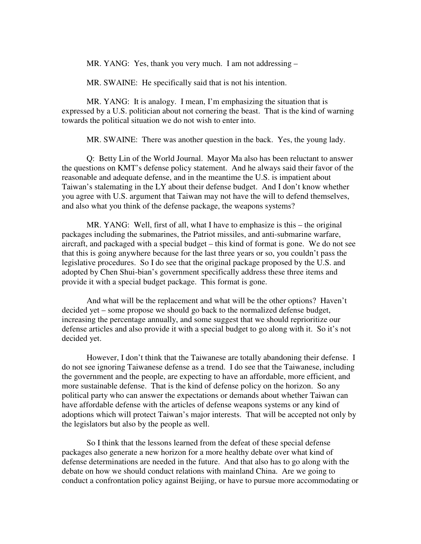MR. YANG: Yes, thank you very much. I am not addressing –

MR. SWAINE: He specifically said that is not his intention.

MR. YANG: It is analogy. I mean, I'm emphasizing the situation that is expressed by a U.S. politician about not cornering the beast. That is the kind of warning towards the political situation we do not wish to enter into.

MR. SWAINE: There was another question in the back. Yes, the young lady.

Q: Betty Lin of the World Journal. Mayor Ma also has been reluctant to answer the questions on KMT's defense policy statement. And he always said their favor of the reasonable and adequate defense, and in the meantime the U.S. is impatient about Taiwan's stalemating in the LY about their defense budget. And I don't know whether you agree with U.S. argument that Taiwan may not have the will to defend themselves, and also what you think of the defense package, the weapons systems?

MR. YANG: Well, first of all, what I have to emphasize is this – the original packages including the submarines, the Patriot missiles, and anti-submarine warfare, aircraft, and packaged with a special budget – this kind of format is gone. We do not see that this is going anywhere because for the last three years or so, you couldn't pass the legislative procedures. So I do see that the original package proposed by the U.S. and adopted by Chen Shui-bian's government specifically address these three items and provide it with a special budget package. This format is gone.

And what will be the replacement and what will be the other options? Haven't decided yet – some propose we should go back to the normalized defense budget, increasing the percentage annually, and some suggest that we should reprioritize our defense articles and also provide it with a special budget to go along with it. So it's not decided yet.

However, I don't think that the Taiwanese are totally abandoning their defense. I do not see ignoring Taiwanese defense as a trend. I do see that the Taiwanese, including the government and the people, are expecting to have an affordable, more efficient, and more sustainable defense. That is the kind of defense policy on the horizon. So any political party who can answer the expectations or demands about whether Taiwan can have affordable defense with the articles of defense weapons systems or any kind of adoptions which will protect Taiwan's major interests. That will be accepted not only by the legislators but also by the people as well.

So I think that the lessons learned from the defeat of these special defense packages also generate a new horizon for a more healthy debate over what kind of defense determinations are needed in the future. And that also has to go along with the debate on how we should conduct relations with mainland China. Are we going to conduct a confrontation policy against Beijing, or have to pursue more accommodating or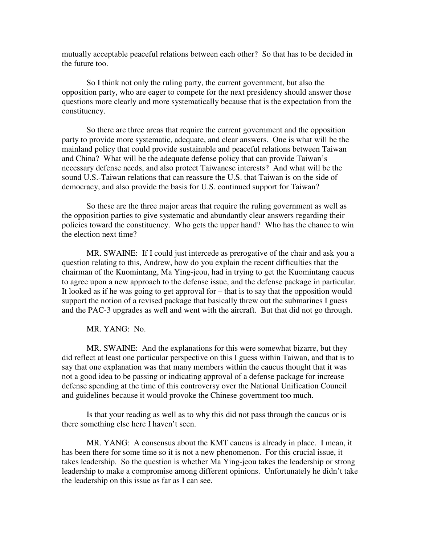mutually acceptable peaceful relations between each other? So that has to be decided in the future too.

So I think not only the ruling party, the current government, but also the opposition party, who are eager to compete for the next presidency should answer those questions more clearly and more systematically because that is the expectation from the constituency.

So there are three areas that require the current government and the opposition party to provide more systematic, adequate, and clear answers. One is what will be the mainland policy that could provide sustainable and peaceful relations between Taiwan and China? What will be the adequate defense policy that can provide Taiwan's necessary defense needs, and also protect Taiwanese interests? And what will be the sound U.S.-Taiwan relations that can reassure the U.S. that Taiwan is on the side of democracy, and also provide the basis for U.S. continued support for Taiwan?

So these are the three major areas that require the ruling government as well as the opposition parties to give systematic and abundantly clear answers regarding their policies toward the constituency. Who gets the upper hand? Who has the chance to win the election next time?

MR. SWAINE: If I could just intercede as prerogative of the chair and ask you a question relating to this, Andrew, how do you explain the recent difficulties that the chairman of the Kuomintang, Ma Ying-jeou, had in trying to get the Kuomintang caucus to agree upon a new approach to the defense issue, and the defense package in particular. It looked as if he was going to get approval for – that is to say that the opposition would support the notion of a revised package that basically threw out the submarines I guess and the PAC-3 upgrades as well and went with the aircraft. But that did not go through.

MR. YANG: No.

MR. SWAINE: And the explanations for this were somewhat bizarre, but they did reflect at least one particular perspective on this I guess within Taiwan, and that is to say that one explanation was that many members within the caucus thought that it was not a good idea to be passing or indicating approval of a defense package for increase defense spending at the time of this controversy over the National Unification Council and guidelines because it would provoke the Chinese government too much.

Is that your reading as well as to why this did not pass through the caucus or is there something else here I haven't seen.

MR. YANG: A consensus about the KMT caucus is already in place. I mean, it has been there for some time so it is not a new phenomenon. For this crucial issue, it takes leadership. So the question is whether Ma Ying-jeou takes the leadership or strong leadership to make a compromise among different opinions. Unfortunately he didn't take the leadership on this issue as far as I can see.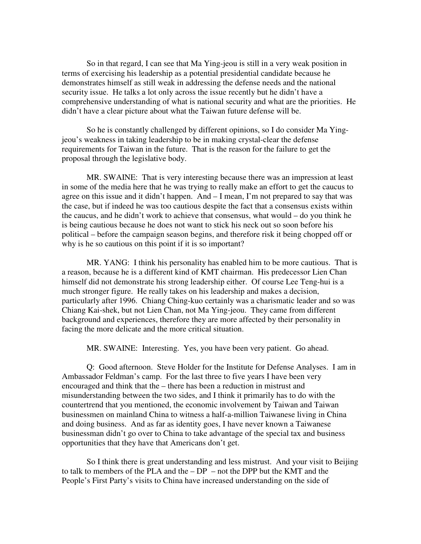So in that regard, I can see that Ma Ying-jeou is still in a very weak position in terms of exercising his leadership as a potential presidential candidate because he demonstrates himself as still weak in addressing the defense needs and the national security issue. He talks a lot only across the issue recently but he didn't have a comprehensive understanding of what is national security and what are the priorities. He didn't have a clear picture about what the Taiwan future defense will be.

So he is constantly challenged by different opinions, so I do consider Ma Yingjeou's weakness in taking leadership to be in making crystal-clear the defense requirements for Taiwan in the future. That is the reason for the failure to get the proposal through the legislative body.

MR. SWAINE: That is very interesting because there was an impression at least in some of the media here that he was trying to really make an effort to get the caucus to agree on this issue and it didn't happen. And – I mean, I'm not prepared to say that was the case, but if indeed he was too cautious despite the fact that a consensus exists within the caucus, and he didn't work to achieve that consensus, what would – do you think he is being cautious because he does not want to stick his neck out so soon before his political – before the campaign season begins, and therefore risk it being chopped off or why is he so cautious on this point if it is so important?

MR. YANG: I think his personality has enabled him to be more cautious. That is a reason, because he is a different kind of KMT chairman. His predecessor Lien Chan himself did not demonstrate his strong leadership either. Of course Lee Teng-hui is a much stronger figure. He really takes on his leadership and makes a decision, particularly after 1996. Chiang Ching-kuo certainly was a charismatic leader and so was Chiang Kai-shek, but not Lien Chan, not Ma Ying-jeou. They came from different background and experiences, therefore they are more affected by their personality in facing the more delicate and the more critical situation.

MR. SWAINE: Interesting. Yes, you have been very patient. Go ahead.

Q: Good afternoon. Steve Holder for the Institute for Defense Analyses. I am in Ambassador Feldman's camp. For the last three to five years I have been very encouraged and think that the – there has been a reduction in mistrust and misunderstanding between the two sides, and I think it primarily has to do with the countertrend that you mentioned, the economic involvement by Taiwan and Taiwan businessmen on mainland China to witness a half-a-million Taiwanese living in China and doing business. And as far as identity goes, I have never known a Taiwanese businessman didn't go over to China to take advantage of the special tax and business opportunities that they have that Americans don't get.

So I think there is great understanding and less mistrust. And your visit to Beijing to talk to members of the PLA and the – DP – not the DPP but the KMT and the People's First Party's visits to China have increased understanding on the side of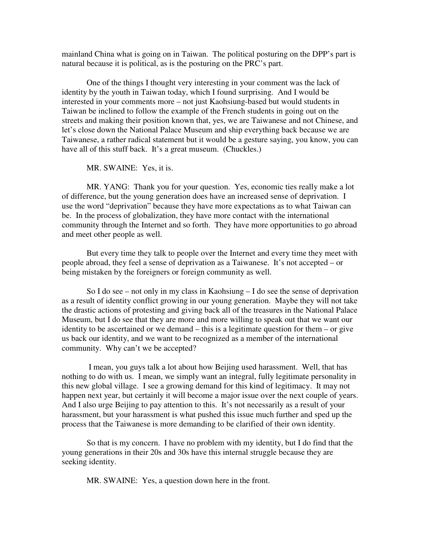mainland China what is going on in Taiwan. The political posturing on the DPP's part is natural because it is political, as is the posturing on the PRC's part.

One of the things I thought very interesting in your comment was the lack of identity by the youth in Taiwan today, which I found surprising. And I would be interested in your comments more – not just Kaohsiung-based but would students in Taiwan be inclined to follow the example of the French students in going out on the streets and making their position known that, yes, we are Taiwanese and not Chinese, and let's close down the National Palace Museum and ship everything back because we are Taiwanese, a rather radical statement but it would be a gesture saying, you know, you can have all of this stuff back. It's a great museum. (Chuckles.)

MR. SWAINE: Yes, it is.

MR. YANG: Thank you for your question. Yes, economic ties really make a lot of difference, but the young generation does have an increased sense of deprivation. I use the word "deprivation" because they have more expectations as to what Taiwan can be. In the process of globalization, they have more contact with the international community through the Internet and so forth. They have more opportunities to go abroad and meet other people as well.

But every time they talk to people over the Internet and every time they meet with people abroad, they feel a sense of deprivation as a Taiwanese. It's not accepted – or being mistaken by the foreigners or foreign community as well.

So I do see – not only in my class in Kaohsiung – I do see the sense of deprivation as a result of identity conflict growing in our young generation. Maybe they will not take the drastic actions of protesting and giving back all of the treasures in the National Palace Museum, but I do see that they are more and more willing to speak out that we want our identity to be ascertained or we demand – this is a legitimate question for them – or give us back our identity, and we want to be recognized as a member of the international community. Why can't we be accepted?

 I mean, you guys talk a lot about how Beijing used harassment. Well, that has nothing to do with us. I mean, we simply want an integral, fully legitimate personality in this new global village. I see a growing demand for this kind of legitimacy. It may not happen next year, but certainly it will become a major issue over the next couple of years. And I also urge Beijing to pay attention to this. It's not necessarily as a result of your harassment, but your harassment is what pushed this issue much further and sped up the process that the Taiwanese is more demanding to be clarified of their own identity.

So that is my concern. I have no problem with my identity, but I do find that the young generations in their 20s and 30s have this internal struggle because they are seeking identity.

MR. SWAINE: Yes, a question down here in the front.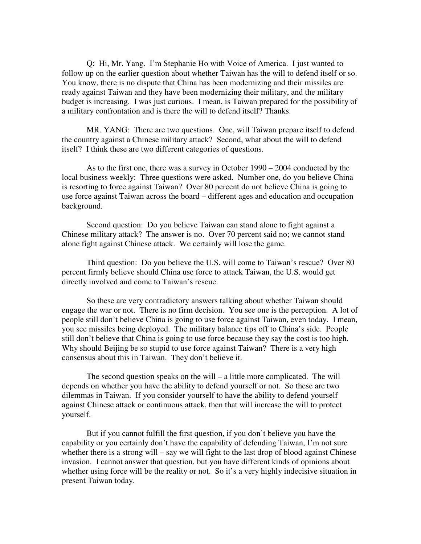Q: Hi, Mr. Yang. I'm Stephanie Ho with Voice of America. I just wanted to follow up on the earlier question about whether Taiwan has the will to defend itself or so. You know, there is no dispute that China has been modernizing and their missiles are ready against Taiwan and they have been modernizing their military, and the military budget is increasing. I was just curious. I mean, is Taiwan prepared for the possibility of a military confrontation and is there the will to defend itself? Thanks.

MR. YANG: There are two questions. One, will Taiwan prepare itself to defend the country against a Chinese military attack? Second, what about the will to defend itself? I think these are two different categories of questions.

As to the first one, there was a survey in October 1990 – 2004 conducted by the local business weekly: Three questions were asked. Number one, do you believe China is resorting to force against Taiwan? Over 80 percent do not believe China is going to use force against Taiwan across the board – different ages and education and occupation background.

Second question: Do you believe Taiwan can stand alone to fight against a Chinese military attack? The answer is no. Over 70 percent said no; we cannot stand alone fight against Chinese attack. We certainly will lose the game.

Third question: Do you believe the U.S. will come to Taiwan's rescue? Over 80 percent firmly believe should China use force to attack Taiwan, the U.S. would get directly involved and come to Taiwan's rescue.

So these are very contradictory answers talking about whether Taiwan should engage the war or not. There is no firm decision. You see one is the perception. A lot of people still don't believe China is going to use force against Taiwan, even today. I mean, you see missiles being deployed. The military balance tips off to China's side. People still don't believe that China is going to use force because they say the cost is too high. Why should Beijing be so stupid to use force against Taiwan? There is a very high consensus about this in Taiwan. They don't believe it.

The second question speaks on the will – a little more complicated. The will depends on whether you have the ability to defend yourself or not. So these are two dilemmas in Taiwan. If you consider yourself to have the ability to defend yourself against Chinese attack or continuous attack, then that will increase the will to protect yourself.

But if you cannot fulfill the first question, if you don't believe you have the capability or you certainly don't have the capability of defending Taiwan, I'm not sure whether there is a strong will – say we will fight to the last drop of blood against Chinese invasion. I cannot answer that question, but you have different kinds of opinions about whether using force will be the reality or not. So it's a very highly indecisive situation in present Taiwan today.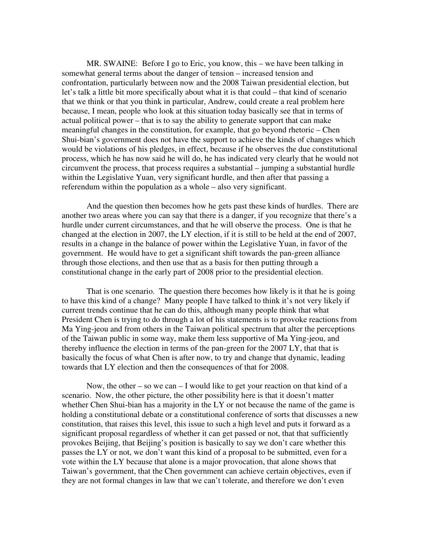MR. SWAINE: Before I go to Eric, you know, this – we have been talking in somewhat general terms about the danger of tension – increased tension and confrontation, particularly between now and the 2008 Taiwan presidential election, but let's talk a little bit more specifically about what it is that could – that kind of scenario that we think or that you think in particular, Andrew, could create a real problem here because, I mean, people who look at this situation today basically see that in terms of actual political power – that is to say the ability to generate support that can make meaningful changes in the constitution, for example, that go beyond rhetoric – Chen Shui-bian's government does not have the support to achieve the kinds of changes which would be violations of his pledges, in effect, because if he observes the due constitutional process, which he has now said he will do, he has indicated very clearly that he would not circumvent the process, that process requires a substantial – jumping a substantial hurdle within the Legislative Yuan, very significant hurdle, and then after that passing a referendum within the population as a whole – also very significant.

And the question then becomes how he gets past these kinds of hurdles. There are another two areas where you can say that there is a danger, if you recognize that there's a hurdle under current circumstances, and that he will observe the process. One is that he changed at the election in 2007, the LY election, if it is still to be held at the end of 2007, results in a change in the balance of power within the Legislative Yuan, in favor of the government. He would have to get a significant shift towards the pan-green alliance through those elections, and then use that as a basis for then putting through a constitutional change in the early part of 2008 prior to the presidential election.

That is one scenario. The question there becomes how likely is it that he is going to have this kind of a change? Many people I have talked to think it's not very likely if current trends continue that he can do this, although many people think that what President Chen is trying to do through a lot of his statements is to provoke reactions from Ma Ying-jeou and from others in the Taiwan political spectrum that alter the perceptions of the Taiwan public in some way, make them less supportive of Ma Ying-jeou, and thereby influence the election in terms of the pan-green for the 2007 LY, that that is basically the focus of what Chen is after now, to try and change that dynamic, leading towards that LY election and then the consequences of that for 2008.

Now, the other – so we can – I would like to get your reaction on that kind of a scenario. Now, the other picture, the other possibility here is that it doesn't matter whether Chen Shui-bian has a majority in the LY or not because the name of the game is holding a constitutional debate or a constitutional conference of sorts that discusses a new constitution, that raises this level, this issue to such a high level and puts it forward as a significant proposal regardless of whether it can get passed or not, that that sufficiently provokes Beijing, that Beijing's position is basically to say we don't care whether this passes the LY or not, we don't want this kind of a proposal to be submitted, even for a vote within the LY because that alone is a major provocation, that alone shows that Taiwan's government, that the Chen government can achieve certain objectives, even if they are not formal changes in law that we can't tolerate, and therefore we don't even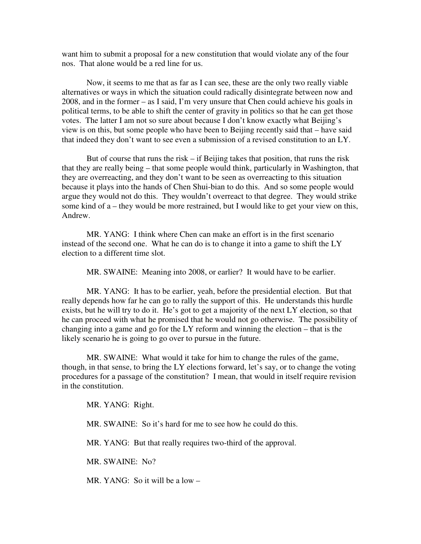want him to submit a proposal for a new constitution that would violate any of the four nos. That alone would be a red line for us.

Now, it seems to me that as far as I can see, these are the only two really viable alternatives or ways in which the situation could radically disintegrate between now and 2008, and in the former – as I said, I'm very unsure that Chen could achieve his goals in political terms, to be able to shift the center of gravity in politics so that he can get those votes. The latter I am not so sure about because I don't know exactly what Beijing's view is on this, but some people who have been to Beijing recently said that – have said that indeed they don't want to see even a submission of a revised constitution to an LY.

But of course that runs the risk – if Beijing takes that position, that runs the risk that they are really being – that some people would think, particularly in Washington, that they are overreacting, and they don't want to be seen as overreacting to this situation because it plays into the hands of Chen Shui-bian to do this. And so some people would argue they would not do this. They wouldn't overreact to that degree. They would strike some kind of a – they would be more restrained, but I would like to get your view on this, Andrew.

MR. YANG: I think where Chen can make an effort is in the first scenario instead of the second one. What he can do is to change it into a game to shift the LY election to a different time slot.

MR. SWAINE: Meaning into 2008, or earlier? It would have to be earlier.

MR. YANG: It has to be earlier, yeah, before the presidential election. But that really depends how far he can go to rally the support of this. He understands this hurdle exists, but he will try to do it. He's got to get a majority of the next LY election, so that he can proceed with what he promised that he would not go otherwise. The possibility of changing into a game and go for the LY reform and winning the election – that is the likely scenario he is going to go over to pursue in the future.

MR. SWAINE: What would it take for him to change the rules of the game, though, in that sense, to bring the LY elections forward, let's say, or to change the voting procedures for a passage of the constitution? I mean, that would in itself require revision in the constitution.

MR. YANG: Right.

MR. SWAINE: So it's hard for me to see how he could do this.

MR. YANG: But that really requires two-third of the approval.

MR. SWAINE: No?

MR. YANG: So it will be a low –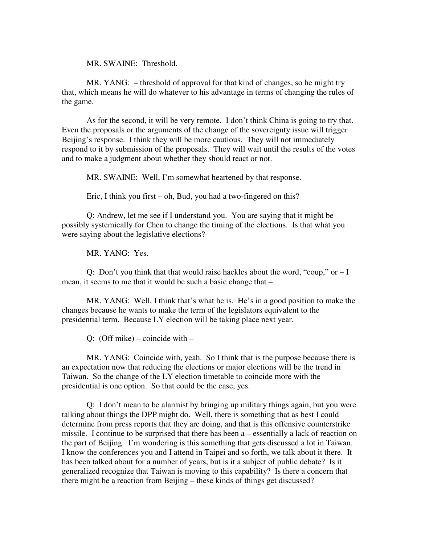MR. SWAINE: Threshold.

MR. YANG: – threshold of approval for that kind of changes, so he might try that, which means he will do whatever to his advantage in terms of changing the rules of the game.

As for the second, it will be very remote. I don't think China is going to try that. Even the proposals or the arguments of the change of the sovereignty issue will trigger Beijing's response. I think they will be more cautious. They will not immediately respond to it by submission of the proposals. They will wait until the results of the votes and to make a judgment about whether they should react or not.

MR. SWAINE: Well, I'm somewhat heartened by that response.

Eric, I think you first – oh, Bud, you had a two-fingered on this?

Q: Andrew, let me see if I understand you. You are saying that it might be possibly systemically for Chen to change the timing of the elections. Is that what you were saying about the legislative elections?

MR. YANG: Yes.

Q: Don't you think that that would raise hackles about the word, "coup," or  $-I$ mean, it seems to me that it would be such a basic change that –

MR. YANG: Well, I think that's what he is. He's in a good position to make the changes because he wants to make the term of the legislators equivalent to the presidential term. Because LY election will be taking place next year.

Q: (Off mike) – coincide with –

MR. YANG: Coincide with, yeah. So I think that is the purpose because there is an expectation now that reducing the elections or major elections will be the trend in Taiwan. So the change of the LY election timetable to coincide more with the presidential is one option. So that could be the case, yes.

Q: I don't mean to be alarmist by bringing up military things again, but you were talking about things the DPP might do. Well, there is something that as best I could determine from press reports that they are doing, and that is this offensive counterstrike missile. I continue to be surprised that there has been a – essentially a lack of reaction on the part of Beijing. I'm wondering is this something that gets discussed a lot in Taiwan. I know the conferences you and I attend in Taipei and so forth, we talk about it there. It has been talked about for a number of years, but is it a subject of public debate? Is it generalized recognize that Taiwan is moving to this capability? Is there a concern that there might be a reaction from Beijing – these kinds of things get discussed?